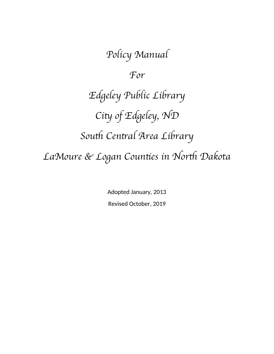Policy Manual For Edgeley Public Library City of Edgeley, ND South Central Area Library LaMoure & Logan Counties in North Dakota

> Adopted January, 2013 Revised October, 2019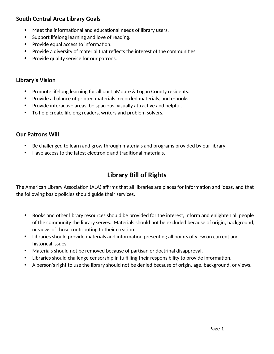## **South Central Area Library Goals**

- Meet the informational and educational needs of library users.
- Support lifelong learning and love of reading.
- Provide equal access to information.
- Provide a diversity of material that reflects the interest of the communities.
- Provide quality service for our patrons.

## **Library's Vision**

- Promote lifelong learning for all our LaMoure & Logan County residents.
- Provide a balance of printed materials, recorded materials, and e-books.
- Provide interactive areas, be spacious, visually attractive and helpful.
- To help create lifelong readers, writers and problem solvers.

#### **Our Patrons Will**

- Be challenged to learn and grow through materials and programs provided by our library.
- Have access to the latest electronic and traditional materials.

# **Library Bill of Rights**

The American Library Association (ALA) affirms that all libraries are places for information and ideas, and that the following basic policies should guide their services.

- Books and other library resources should be provided for the interest, inform and enlighten all people of the community the library serves. Materials should not be excluded because of origin, background, or views of those contributing to their creation.
- Libraries should provide materials and information presenting all points of view on current and historical issues.
- Materials should not be removed because of partisan or doctrinal disapproval.
- Libraries should challenge censorship in fulfilling their responsibility to provide information.
- A person's right to use the library should not be denied because of origin, age, background, or views.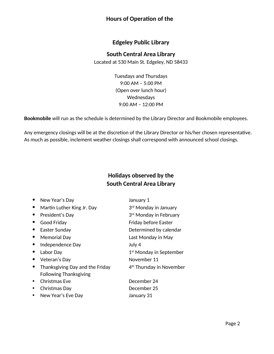#### **Hours of Operation of the**

#### **Edgeley Public Library**

#### **South Central Area Library**

Located at 530 Main St. Edgeley, ND 58433

Tuesdays and Thursdays 9:00 AM – 5:00 PM (Open over lunch hour) Wednesdays 9:00 AM – 12:00 PM

**Bookmobile** will run as the schedule is determined by the Library Director and Bookmobile employees.

Any emergency closings will be at the discretion of the Library Director or his/her chosen representative. As much as possible, inclement weather closings shall correspond with announced school closings.

# **Holidays observed by the South Central Area Library**

| New Year's Day                  | January 1                            |
|---------------------------------|--------------------------------------|
| Martin Luther King Jr. Day      | 3rd Monday in January                |
| President's Day                 | 3rd Monday in February               |
| <b>Good Friday</b>              | Friday before Easter                 |
| Easter Sunday                   | Determined by calendar               |
| Memorial Day                    | Last Monday in May                   |
| Independence Day                | July 4                               |
| Labor Day                       | 1 <sup>st</sup> Monday in September  |
| Veteran's Day                   | November 11                          |
| Thanksgiving Day and the Friday | 4 <sup>th</sup> Thursday in November |
| <b>Following Thanksgiving</b>   |                                      |
| <b>Christmas Eve</b>            | December 24                          |
| Christmas Day                   | December 25                          |
| New Year's Eve Day              | January 31                           |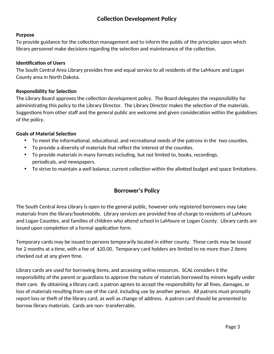## **Collection Development Policy**

#### **Purpose**

To provide guidance for the collection management and to inform the public of the principles upon which library personnel make decisions regarding the selection and maintenance of the collection.

#### **Identification of Users**

The South Central Area Library provides free and equal service to all residents of the LaMoure and Logan County area in North Dakota.

#### **Responsibility for Selection**

The Library Board approves the collection development policy. The Board delegates the responsibility for administrating this policy to the Library Director. The Library Director makes the selection of the materials. Suggestions from other staff and the general public are welcome and given consideration within the guidelines of the policy.

#### **Goals of Material Selection**

- To meet the informational, educational, and recreational needs of the patrons in the two counties.
- To provide a diversity of materials that reflect the interest of the counties.
- To provide materials in many formats including, but not limited to, books, recordings, periodicals, and newspapers.
- To strive to maintain a well balance, current collection within the allotted budget and space limitations.

#### **Borrower's Policy**

The South Central Area Library is open to the general public, however only registered borrowers may take materials from the library/bookmobile. Library services are provided free of charge to residents of LaMoure and Logan Counties, and families of children who attend school in LaMoure or Logan County. Library cards are issued upon completion of a formal application form.

Temporary cards may be issued to persons temporarily located in either county. These cards may be issued for 2 months at a time, with a fee of \$20.00. Temporary card holders are limited to no more than 2 items checked out at any given time.

Library cards are used for borrowing items, and accessing online resources. SCAL considers it the responsibility of the parent or guardians to approve the nature of materials borrowed by minors legally under their care. By obtaining a library card, a patron agrees to accept the responsibility for all fines, damages, or loss of materials resulting from use of the card, including use by another person. All patrons must promptly report loss or theft of the library card, as well as change of address. A patron card should be presented to borrow library materials. Cards are non- transferrable.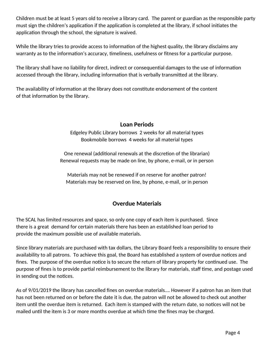Children must be at least 5 years old to receive a library card. The parent or guardian as the responsible party must sign the children's application if the application is completed at the library, if school initiates the application through the school, the signature is waived.

While the library tries to provide access to information of the highest quality, the library disclaims any warranty as to the information's accuracy, timeliness, usefulness or fitness for a particular purpose.

The library shall have no liability for direct, indirect or consequential damages to the use of information accessed through the library, including information that is verbally transmitted at the library.

The availability of information at the library does not constitute endorsement of the content of that information by the library.

## **Loan Periods**

Edgeley Public Library borrows 2 weeks for all material types Bookmobile borrows 4 weeks for all material types

One renewal (additional renewals at the discretion of the librarian) Renewal requests may be made on line, by phone, e-mail, or in person

Materials may not be renewed if on reserve for another patron! Materials may be reserved on line, by phone, e-mail, or in person

## **Overdue Materials**

The SCAL has limited resources and space, so only one copy of each item is purchased. Since there is a great demand for certain materials there has been an established loan period to provide the maximum possible use of available materials.

Since library materials are purchased with tax dollars, the Library Board feels a responsibility to ensure their availability to all patrons. To achieve this goal, the Board has established a system of overdue notices and fines. The purpose of the overdue notice is to secure the return of library property for continued use. The purpose of fines is to provide partial reimbursement to the library for materials, staff time, and postage used in sending out the notices.

As of 9/01/2019 the library has cancelled fines on overdue materials…. However if a patron has an item that has not been returned on or before the date it is due, the patron will not be allowed to check out another item until the overdue item is returned. Each item is stamped with the return date, so notices will not be mailed until the item is 3 or more months overdue at which time the fines may be charged.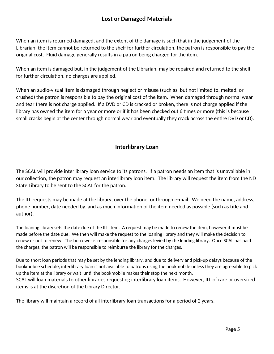## **Lost or Damaged Materials**

When an item is returned damaged, and the extent of the damage is such that in the judgement of the Librarian, the item cannot be returned to the shelf for further circulation, the patron is responsible to pay the original cost. Fluid damage generally results in a patron being charged for the item.

When an item is damaged but, in the judgement of the Librarian, may be repaired and returned to the shelf for further circulation, no charges are applied.

When an audio-visual item is damaged through neglect or misuse (such as, but not limited to, melted, or crushed) the patron is responsible to pay the original cost of the item. When damaged through normal wear and tear there is not charge applied. If a DVD or CD is cracked or broken, there is not charge applied if the library has owned the item for a year or more or if it has been checked out 6 times or more (this is because small cracks begin at the center through normal wear and eventually they crack across the entire DVD or CD).

#### **Interlibrary Loan**

The SCAL will provide interlibrary loan service to its patrons. If a patron needs an item that is unavailable in our collection, the patron may request an interlibrary loan item. The library will request the item from the ND State Library to be sent to the SCAL for the patron.

The ILL requests may be made at the library, over the phone, or through e-mail. We need the name, address, phone number, date needed by, and as much information of the item needed as possible (such as title and author).

The loaning library sets the date due of the ILL item. A request may be made to renew the item, however it must be made before the date due. We then will make the request to the loaning library and they will make the decision to renew or not to renew. The borrower is responsible for any charges levied by the lending library. Once SCAL has paid the charges, the patron will be responsible to reimburse the library for the charges.

Due to short loan periods that may be set by the lending library, and due to delivery and pick-up delays because of the bookmobile schedule, interlibrary loan is not available to patrons using the bookmobile unless they are agreeable to pick up the item at the library or wait until the bookmobile makes their stop the next month.

SCAL will loan materials to other libraries requesting interlibrary loan items. However, ILL of rare or oversized items is at the discretion of the Library Director.

The library will maintain a record of all interlibrary loan transactions for a period of 2 years.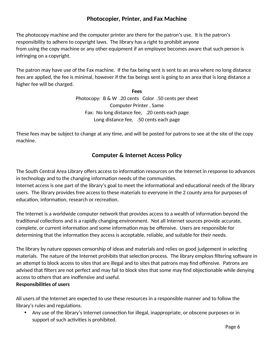## **Photocopier, Printer, and Fax Machine**

The photocopy machine and the computer printer are there for the patron's use. It is the patron's responsibility to adhere to copyright laws. The library has a right to prohibit anyone from using the copy machine or any other equipment if an employee becomes aware that such person is infringing on a copyright.

The patron may have use of the Fax machine. If the fax being sent is sent to an area where no long distance fees are applied, the fee is minimal, however if the fax beings sent is going to an area that is long distance a higher fee will be charged.

> **Fees** Photocopy: B & W .20 cents Color .50 cents per sheet Computer Printer , Same Fax: No long distance fee, .20 cents each page Long distance fee, .50 cents each page

These fees may be subject to change at any time, and will be posted for patrons to see at the site of the copy machine.

#### **Computer & Internet Access Policy**

The South Central Area Library offers access to information resources on the Internet in response to advances in technology and to the changing information needs of the communities.

Internet access is one part of the library's goal to meet the informational and educational needs of the library users. The library provides free access to these materials to everyone in the 2 county area for purposes of education, information, research or recreation.

The Internet is a worldwide computer network that provides access to a wealth of information beyond the traditional collections and is a rapidly changing environment. Not all Internet sources provide accurate, complete, or current information and some information may be offensive. Users are responsible for determining that the information they access is acceptable, reliable, and suitable for their needs.

The library by nature opposes censorship of ideas and materials and relies on good judgement in selecting materials. The nature of the Internet prohibits that selection process. The library employs filtering software in an attempt to block access to sites that are illegal and to sites that patrons may find offensive. Patrons are advised that filters are not perfect and may fail to block sites that some may find objectionable while denying access to others that are inoffensive and useful.

#### **Responsibilities of users**

All users of the Internet are expected to use these resources in a responsible manner and to follow the library's rules and regulations.

 Any use of the library's Internet connection for illegal, inappropriate, or obscene purposes or in support of such activities is prohibited.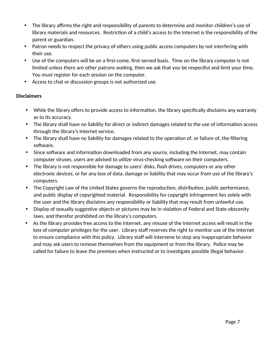- The library affirms the right and responsibility of parents to determine and monitor children's use of library materials and resources. Restriction of a child's access to the Internet is the responsibility of the parent or guardian.
- Patron needs to respect the privacy of others using public access computers by not interfering with their use.
- Use of the computers will be on a first-come, first-served basis. Time on the library computer is not limited unless there are other patrons waiting, then we ask that you be respectful and limit your time. You must register for each session on the computer.
- Access to chat or discussion groups is not authorized use.

#### **Disclaimers**

- While the library offers to provide access to information, the library specifically disclaims any warranty as to its accuracy.
- The library shall have no liability for direct or indirect damages related to the use of information access through the library's Internet service.
- The library shall have no liability for damages related to the operation of, or failure of, the filtering software.
- Since software and information downloaded from any source, including the Internet, may contain computer viruses, users are advised to utilize virus-checking software on their computers.
- The library is not responsible for damage to users' disks, flash drives, computers or any other electronic devices, or for any loss of data, damage or liability that may occur from use of the library's computers.
- The Copyright Law of the United States governs the reproduction, distribution, public performance, and public display of copyrighted material. Responsibility for copyright infringement lies solely with the user and the library disclaims any responsibility or liability that may result from unlawful use.
- Display of sexually suggestive objects or pictures may be in violation of Federal and State obscenity laws, and therefor prohibited on the library's computers.
- As the library provides free access to the Internet, any misuse of the Internet access will result in the loss of computer privileges for the user. Library staff reserves the right to monitor use of the Internet to ensure compliance with this policy. Library staff will intervene to stop any inappropriate behavior and may ask users to remove themselves from the equipment or from the library. Police may be called for failure to leave the premises when instructed or to investigate possible illegal behavior.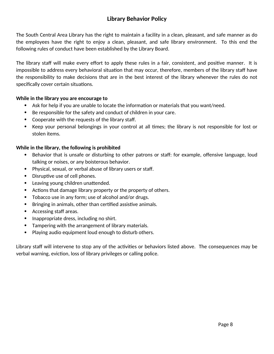## **Library Behavior Policy**

The South Central Area Library has the right to maintain a facility in a clean, pleasant, and safe manner as do the employees have the right to enjoy a clean, pleasant, and safe library environment. To this end the following rules of conduct have been established by the Library Board.

The library staff will make every effort to apply these rules in a fair, consistent, and positive manner. It is impossible to address every behavioral situation that may occur, therefore, members of the library staff have the responsibility to make decisions that are in the best interest of the library whenever the rules do not specifically cover certain situations.

#### **While in the library you are encourage to**

- Ask for help if you are unable to locate the information or materials that you want/need.
- Be responsible for the safety and conduct of children in your care.
- Cooperate with the requests of the library staff.
- Keep your personal belongings in your control at all times; the library is not responsible for lost or stolen items.

#### **While in the library, the following is prohibited**

- Behavior that is unsafe or disturbing to other patrons or staff: for example, offensive language, loud talking or noises, or any boisterous behavior.
- Physical, sexual, or verbal abuse of library users or staff.
- Disruptive use of cell phones.
- Leaving young children unattended.
- Actions that damage library property or the property of others.
- Tobacco use in any form; use of alcohol and/or drugs.
- Bringing in animals, other than certified assistive animals.
- Accessing staff areas.
- Inappropriate dress, including no shirt.
- Tampering with the arrangement of library materials.
- Playing audio equipment loud enough to disturb others.

Library staff will intervene to stop any of the activities or behaviors listed above. The consequences may be verbal warning, eviction, loss of library privileges or calling police.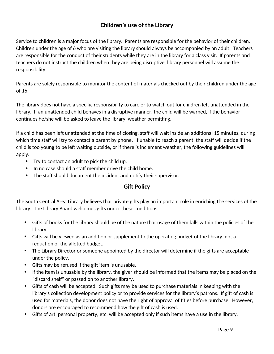## **Children's use of the Library**

Service to children is a major focus of the library. Parents are responsible for the behavior of their children. Children under the age of 6 who are visiting the library should always be accompanied by an adult. Teachers are responsible for the conduct of their students while they are in the library for a class visit. If parents and teachers do not instruct the children when they are being disruptive, library personnel will assume the responsibility.

Parents are solely responsible to monitor the content of materials checked out by their children under the age of 16.

The library does not have a specific responsibility to care or to watch out for children left unattended in the library. If an unattended child behaves in a disruptive manner, the child will be warned, if the behavior continues he/she will be asked to leave the library, weather permitting.

If a child has been left unattended at the time of closing, staff will wait inside an additional 15 minutes, during which time staff will try to contact a parent by phone. If unable to reach a parent, the staff will decide if the child is too young to be left waiting outside, or if there is inclement weather, the following guidelines will apply.

- Try to contact an adult to pick the child up.
- In no case should a staff member drive the child home.
- The staff should document the incident and notify their supervisor.

## **Gift Policy**

The South Central Area Library believes that private gifts play an important role in enriching the services of the library. The Library Board welcomes gifts under these conditions.

- Gifts of books for the library should be of the nature that usage of them falls within the policies of the library.
- Gifts will be viewed as an addition or supplement to the operating budget of the library, not a reduction of the allotted budget.
- The Library Director or someone appointed by the director will determine if the gifts are acceptable under the policy.
- Gifts may be refused if the gift item is unusable.
- If the item is unusable by the library, the giver should be informed that the items may be placed on the "discard shelf" or passed on to another library.
- Gifts of cash will be accepted. Such gifts may be used to purchase materials in keeping with the library's collection development policy or to provide services for the library's patrons. If gift of cash is used for materials, the donor does not have the right of approval of titles before purchase. However, donors are encouraged to recommend how the gift of cash is used.
- Gifts of art, personal property, etc. will be accepted only if such items have a use in the library.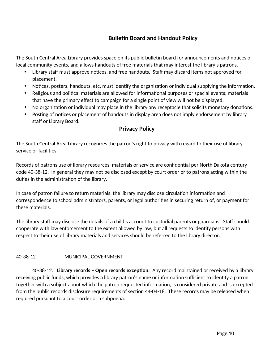## **Bulletin Board and Handout Policy**

The South Central Area Library provides space on its public bulletin board for announcements and notices of local community events, and allows handouts of free materials that may interest the library's patrons.

- Library staff must approve notices, and free handouts. Staff may discard items not approved for placement.
- Notices, posters, handouts, etc. must identify the organization or individual supplying the information.
- Religious and political materials are allowed for informational purposes or special events; materials that have the primary effect to campaign for a single point of view will not be displayed.
- No organization or individual may place in the library any receptacle that solicits monetary donations.
- Posting of notices or placement of handouts in display area does not imply endorsement by library staff or Library Board.

#### **Privacy Policy**

The South Central Area Library recognizes the patron's right to privacy with regard to their use of library service or facilities.

Records of patrons use of library resources, materials or service are confidential per North Dakota century code 40-38-12. In general they may not be disclosed except by court order or to patrons acting within the duties in the administration of the library.

In case of patron failure to return materials, the library may disclose circulation information and correspondence to school administrators, parents, or legal authorities in securing return of, or payment for, these materials.

The library staff may disclose the details of a child's account to custodial parents or guardians. Staff should cooperate with law enforcement to the extent allowed by law, but all requests to identify persons with respect to their use of library materials and services should be referred to the library director.

#### 40-38-12 MUNICIPAL GOVERNMENT

40-38-12. **Library records – Open records exception.** Any record maintained or received by a library receiving public funds, which provides a library patron's name or information sufficient to identify a patron together with a subject about which the patron requested information, is considered private and is excepted from the public records disclosure requirements of section 44-04-18. These records may be released when required pursuant to a court order or a subpoena.